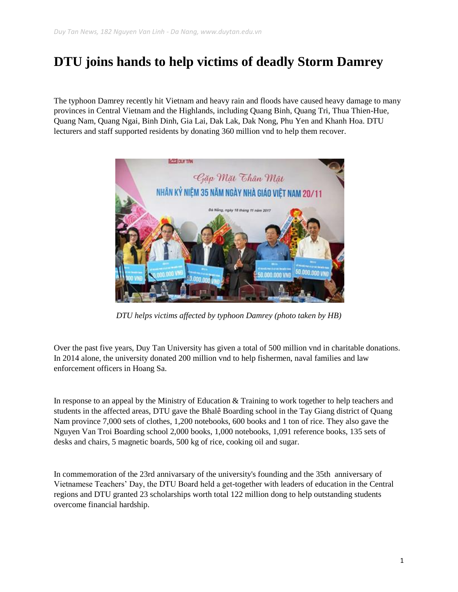## **DTU joins hands to help victims of deadly Storm Damrey**

The typhoon Damrey recently hit Vietnam and heavy rain and floods have caused heavy damage to many provinces in Central Vietnam and the Highlands, including Quang Binh, Quang Tri, Thua Thien-Hue, Quang Nam, Quang Ngai, Binh Dinh, Gia Lai, Dak Lak, Dak Nong, Phu Yen and Khanh Hoa. DTU lecturers and staff supported residents by donating 360 million vnd to help them recover.



*DTU helps victims affected by typhoon Damrey (photo taken by HB)*

Over the past five years, Duy Tan University has given a total of 500 million vnd in charitable donations. In 2014 alone, the university donated 200 million vnd to help fishermen, naval families and law enforcement officers in Hoang Sa.

In response to an appeal by the Ministry of Education & Training to work together to help teachers and students in the affected areas, DTU gave the Bhalê Boarding school in the Tay Giang district of Quang Nam province 7,000 sets of clothes, 1,200 notebooks, 600 books and 1 ton of rice. They also gave the Nguyen Van Troi Boarding school 2,000 books, 1,000 notebooks, 1,091 reference books, 135 sets of desks and chairs, 5 magnetic boards, 500 kg of rice, cooking oil and sugar.

In commemoration of the 23rd annivarsary of the university's founding and the 35th anniversary of Vietnamese Teachers' Day, the DTU Board held a get-together with leaders of education in the Central regions and DTU granted 23 scholarships worth total 122 million dong to help outstanding students overcome financial hardship.